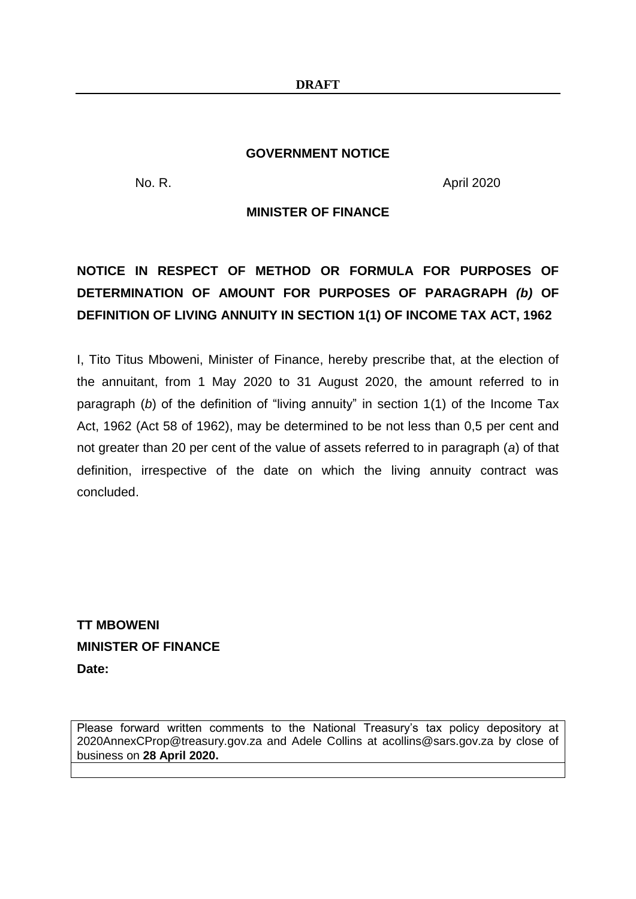#### **GOVERNMENT NOTICE**

No. R. April 2020

### **MINISTER OF FINANCE**

# **NOTICE IN RESPECT OF METHOD OR FORMULA FOR PURPOSES OF DETERMINATION OF AMOUNT FOR PURPOSES OF PARAGRAPH** *(b)* **OF DEFINITION OF LIVING ANNUITY IN SECTION 1(1) OF INCOME TAX ACT, 1962**

I, Tito Titus Mboweni, Minister of Finance, hereby prescribe that, at the election of the annuitant, from 1 May 2020 to 31 August 2020, the amount referred to in paragraph (*b*) of the definition of "living annuity" in section 1(1) of the Income Tax Act, 1962 (Act 58 of 1962), may be determined to be not less than 0,5 per cent and not greater than 20 per cent of the value of assets referred to in paragraph (*a*) of that definition, irrespective of the date on which the living annuity contract was concluded.

**TT MBOWENI MINISTER OF FINANCE Date:**

Please forward written comments to the National Treasury's tax policy depository at 2020AnnexCProp@treasury.gov.za and Adele Collins at acollins@sars.gov.za by close of business on **28 April 2020.**